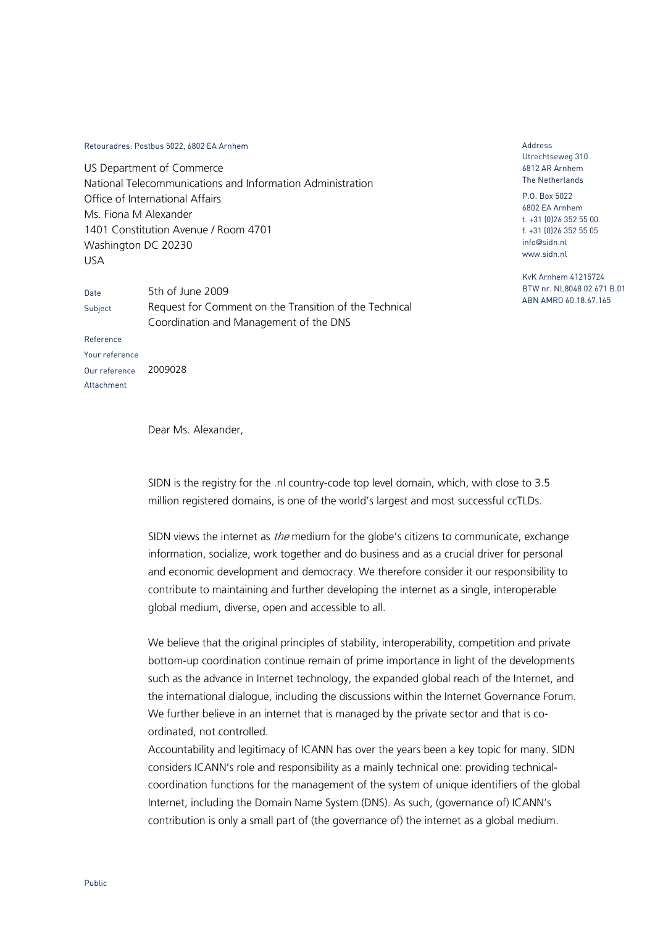## Retouradres: Postbus 5022, 6802 EA Arnhem

US Department of Commerce National Telecommunications and Information Administration Office of International Affairs Ms. Fiona M Alexander 1401 Constitution Avenue / Room 4701 Washington DC 20230 USA

Date 5th of June 2009 Subject Request for Comment on the Transition of the Technical Coordination and Management of the DNS Reference

Your reference Our reference 2009028 Attachment

Dear Ms. Alexander,

SIDN is the registry for the .nl country-code top level domain, which, with close to 3.5 million registered domains, is one of the world's largest and most successful ccTLDs.

SIDN views the internet as *the* medium for the globe's citizens to communicate, exchange information, socialize, work together and do business and as a crucial driver for personal and economic development and democracy. We therefore consider it our responsibility to contribute to maintaining and further developing the internet as a single, interoperable global medium, diverse, open and accessible to all.

We believe that the original principles of stability, interoperability, competition and private bottom-up coordination continue remain of prime importance in light of the developments such as the advance in Internet technology, the expanded global reach of the Internet, and the international dialogue, including the discussions within the Internet Governance Forum. We further believe in an internet that is managed by the private sector and that is coordinated, not controlled.

Accountability and legitimacy of ICANN has over the years been a key topic for many. SIDN considers ICANN's role and responsibility as a mainly technical one: providing technicalcoordination functions for the management of the system of unique identifiers of the global Internet, including the Domain Name System (DNS). As such, (governance of) ICANN's contribution is only a small part of (the governance of) the internet as a global medium.

Address Utrechtseweg 310 6812 AR Arnhem The Netherlands

P.O. Box 5022 6802 EA Arnhem t. +31 (0)26 352 55 00 f. +31 (0)26 352 55 05 info@sidn.nl www.sidn.nl

KvK Arnhem 41215724 BTW nr. NL8048 02 671 B.01 ABN AMRO 60.18.67.165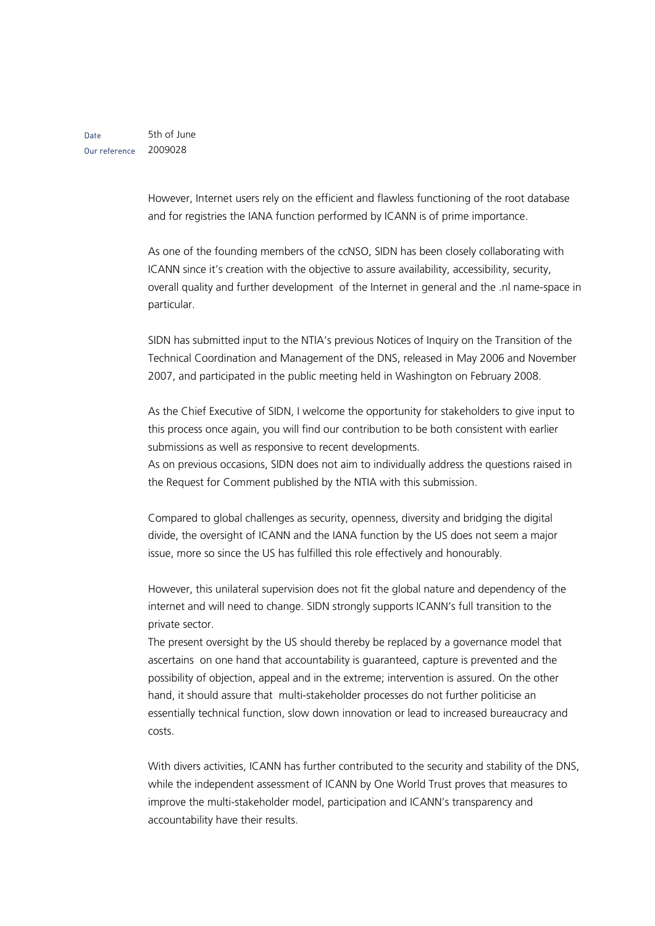However, Internet users rely on the efficient and flawless functioning of the root database and for registries the IANA function performed by ICANN is of prime importance.

As one of the founding members of the ccNSO, SIDN has been closely collaborating with ICANN since it's creation with the objective to assure availability, accessibility, security, overall quality and further development of the Internet in general and the .nl name-space in particular.

SIDN has submitted input to the NTIA's previous Notices of Inquiry on the Transition of the Technical Coordination and Management of the DNS, released in May 2006 and November 2007, and participated in the public meeting held in Washington on February 2008.

As the Chief Executive of SIDN, I welcome the opportunity for stakeholders to give input to this process once again, you will find our contribution to be both consistent with earlier submissions as well as responsive to recent developments.

As on previous occasions, SIDN does not aim to individually address the questions raised in the Request for Comment published by the NTIA with this submission.

Compared to global challenges as security, openness, diversity and bridging the digital divide, the oversight of ICANN and the IANA function by the US does not seem a major issue, more so since the US has fulfilled this role effectively and honourably.

However, this unilateral supervision does not fit the global nature and dependency of the internet and will need to change. SIDN strongly supports ICANN's full transition to the private sector.

The present oversight by the US should thereby be replaced by a governance model that ascertains on one hand that accountability is guaranteed, capture is prevented and the possibility of objection, appeal and in the extreme; intervention is assured. On the other hand, it should assure that multi-stakeholder processes do not further politicise an essentially technical function, slow down innovation or lead to increased bureaucracy and costs.

With divers activities, ICANN has further contributed to the security and stability of the DNS, while the independent assessment of ICANN by One World Trust proves that measures to improve the multi-stakeholder model, participation and ICANN's transparency and accountability have their results.